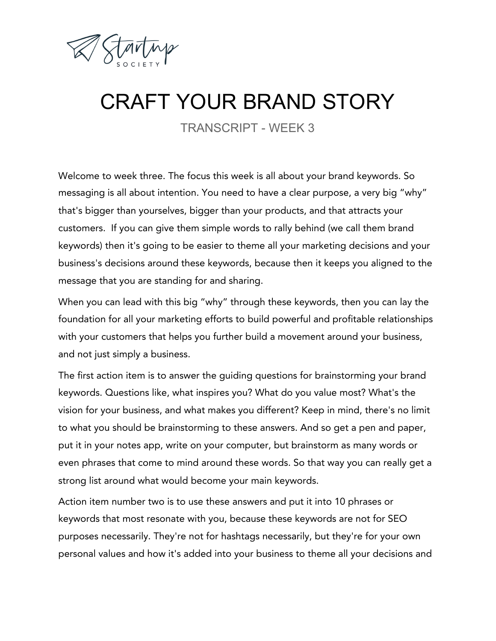

## CRAFT YOUR BRAND STORY

TRANSCRIPT - WEEK 3

Welcome to week three. The focus this week is all about your brand keywords. So messaging is all about intention. You need to have a clear purpose, a very big "why" that's bigger than yourselves, bigger than your products, and that attracts your customers. If you can give them simple words to rally behind (we call them brand keywords) then it's going to be easier to theme all your marketing decisions and your business's decisions around these keywords, because then it keeps you aligned to the message that you are standing for and sharing.

When you can lead with this big "why" through these keywords, then you can lay the foundation for all your marketing efforts to build powerful and profitable relationships with your customers that helps you further build a movement around your business, and not just simply a business.

The first action item is to answer the guiding questions for brainstorming your brand keywords. Questions like, what inspires you? What do you value most? What's the vision for your business, and what makes you different? Keep in mind, there's no limit to what you should be brainstorming to these answers. And so get a pen and paper, put it in your notes app, write on your computer, but brainstorm as many words or even phrases that come to mind around these words. So that way you can really get a strong list around what would become your main keywords.

Action item number two is to use these answers and put it into 10 phrases or keywords that most resonate with you, because these keywords are not for SEO purposes necessarily. They're not for hashtags necessarily, but they're for your own personal values and how it's added into your business to theme all your decisions and